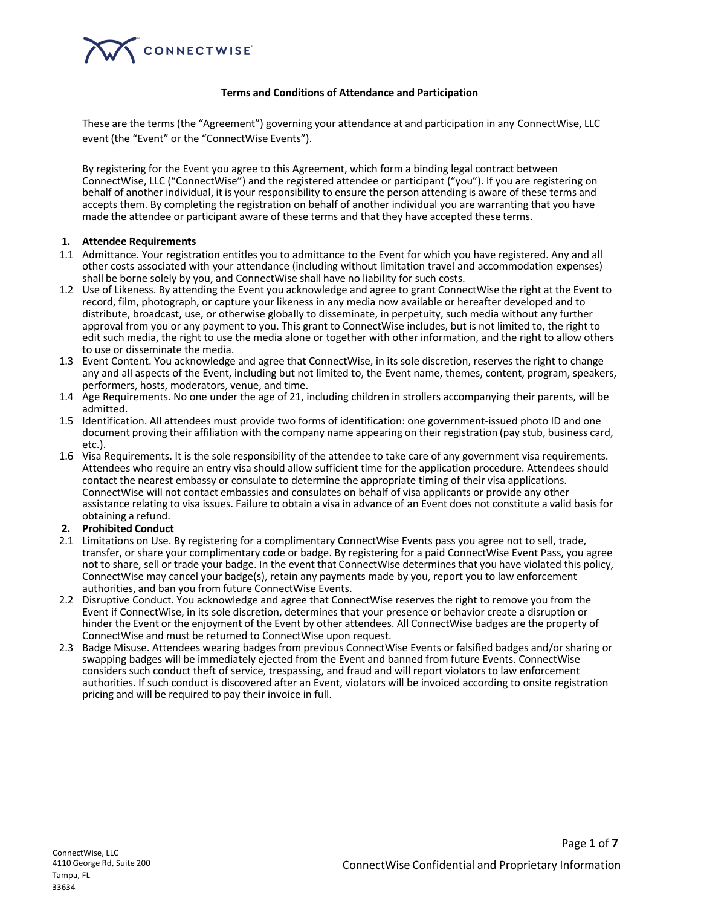

#### **Terms and Conditions of Attendance and Participation**

These are the terms (the "Agreement") governing your attendance at and participation in any ConnectWise, LLC event (the "Event" or the "ConnectWise Events").

By registering for the Event you agree to this Agreement, which form a binding legal contract between ConnectWise, LLC ("ConnectWise") and the registered attendee or participant ("you"). If you are registering on behalf of another individual, it is your responsibility to ensure the person attending is aware of these terms and accepts them. By completing the registration on behalf of another individual you are warranting that you have made the attendee or participant aware of these terms and that they have accepted these terms.

#### **1. Attendee Requirements**

- 1.1 Admittance. Your registration entitles you to admittance to the Event for which you have registered. Any and all other costs associated with your attendance (including without limitation travel and accommodation expenses) shall be borne solely by you, and ConnectWise shall have no liability for such costs.
- 1.2 Use of Likeness. By attending the Event you acknowledge and agree to grant ConnectWise the right at the Event to record, film, photograph, or capture your likeness in any media now available or hereafter developed and to distribute, broadcast, use, or otherwise globally to disseminate, in perpetuity, such media without any further approval from you or any payment to you. This grant to ConnectWise includes, but is not limited to, the right to edit such media, the right to use the media alone or together with other information, and the right to allow others to use or disseminate the media.
- 1.3 Event Content. You acknowledge and agree that ConnectWise, in its sole discretion, reserves the right to change any and all aspects of the Event, including but not limited to, the Event name, themes, content, program, speakers, performers, hosts, moderators, venue, and time.
- 1.4 Age Requirements. No one under the age of 21, including children in strollers accompanying their parents, will be admitted.
- 1.5 Identification. All attendees must provide two forms of identification: one government-issued photo ID and one document proving their affiliation with the company name appearing on their registration (pay stub, business card, etc.).
- 1.6 Visa Requirements. It is the sole responsibility of the attendee to take care of any government visa requirements. Attendees who require an entry visa should allow sufficient time for the application procedure. Attendees should contact the nearest embassy or consulate to determine the appropriate timing of their visa applications. ConnectWise will not contact embassies and consulates on behalf of visa applicants or provide any other assistance relating to visa issues. Failure to obtain a visa in advance of an Event does not constitute a valid basis for obtaining a refund.

#### **2. Prohibited Conduct**

- 2.1 Limitations on Use. By registering for a complimentary ConnectWise Events pass you agree not to sell, trade, transfer, or share your complimentary code or badge. By registering for a paid ConnectWise Event Pass, you agree not to share, sell or trade your badge. In the event that ConnectWise determines that you have violated this policy, ConnectWise may cancel your badge(s), retain any payments made by you, report you to law enforcement authorities, and ban you from future ConnectWise Events.
- 2.2 Disruptive Conduct. You acknowledge and agree that ConnectWise reserves the right to remove you from the Event if ConnectWise, in its sole discretion, determines that your presence or behavior create a disruption or hinder the Event or the enjoyment of the Event by other attendees. All ConnectWise badges are the property of ConnectWise and must be returned to ConnectWise upon request.
- 2.3 Badge Misuse. Attendees wearing badges from previous ConnectWise Events or falsified badges and/or sharing or swapping badges will be immediately ejected from the Event and banned from future Events. ConnectWise considers such conduct theft of service, trespassing, and fraud and will report violators to law enforcement authorities. If such conduct is discovered after an Event, violators will be invoiced according to onsite registration pricing and will be required to pay their invoice in full.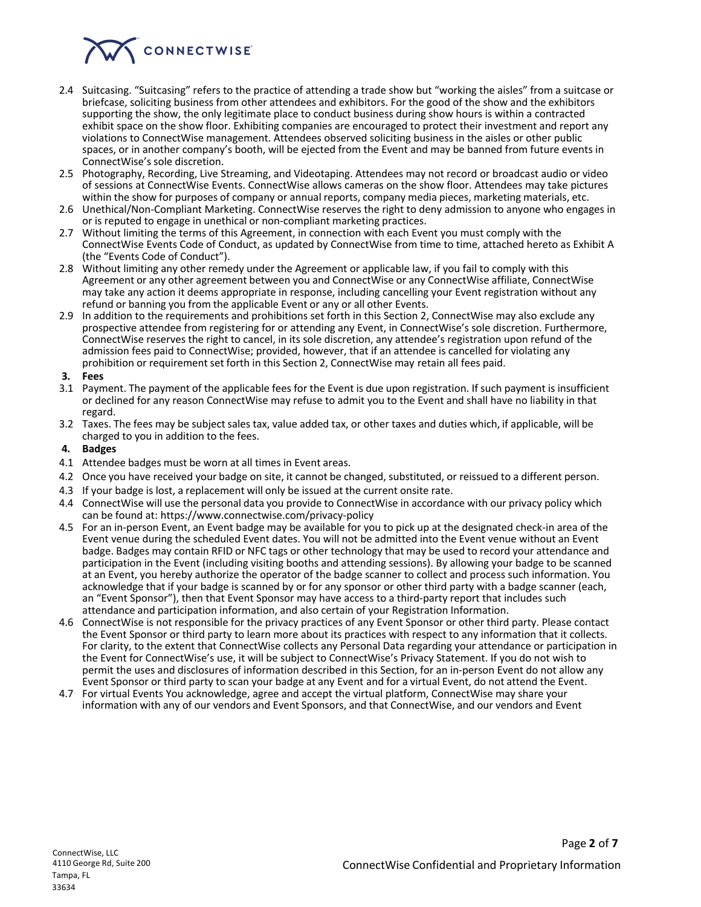

- 2.4 Suitcasing. "Suitcasing" refers to the practice of attending a trade show but "working the aisles" from a suitcase or briefcase, soliciting business from other attendees and exhibitors. For the good of the show and the exhibitors supporting the show, the only legitimate place to conduct business during show hours is within a contracted exhibit space on the show floor. Exhibiting companies are encouraged to protect their investment and report any violations to ConnectWise management. Attendees observed soliciting business in the aisles or other public spaces, or in another company's booth, will be ejected from the Event and may be banned from future events in ConnectWise's sole discretion.
- 2.5 Photography, Recording, Live Streaming, and Videotaping. Attendees may not record or broadcast audio or video of sessions at ConnectWise Events. ConnectWise allows cameras on the show floor. Attendees may take pictures within the show for purposes of company or annual reports, company media pieces, marketing materials, etc.
- 2.6 Unethical/Non-Compliant Marketing. ConnectWise reserves the right to deny admission to anyone who engages in or is reputed to engage in unethical or non-compliant marketing practices.
- 2.7 Without limiting the terms of this Agreement, in connection with each Event you must comply with the ConnectWise Events Code of Conduct, as updated by ConnectWise from time to time, attached hereto as Exhibit A (the "Events Code of Conduct").
- 2.8 Without limiting any other remedy under the Agreement or applicable law, if you fail to comply with this Agreement or any other agreement between you and ConnectWise or any ConnectWise affiliate, ConnectWise may take any action it deems appropriate in response, including cancelling your Event registration without any refund or banning you from the applicable Event or any or all other Events.
- 2.9 In addition to the requirements and prohibitions set forth in this Section 2, ConnectWise may also exclude any prospective attendee from registering for or attending any Event, in ConnectWise's sole discretion. Furthermore, ConnectWise reserves the right to cancel, in its sole discretion, any attendee's registration upon refund of the admission fees paid to ConnectWise; provided, however, that if an attendee is cancelled for violating any prohibition or requirement set forth in this Section 2, ConnectWise may retain all fees paid.

#### **3. Fees**

- 3.1 Payment. The payment of the applicable fees for the Event is due upon registration. If such payment is insufficient or declined for any reason ConnectWise may refuse to admit you to the Event and shall have no liability in that regard.
- 3.2 Taxes. The fees may be subject sales tax, value added tax, or other taxes and duties which, if applicable, will be charged to you in addition to the fees.

## **4. Badges**

- 4.1 Attendee badges must be worn at all times in Event areas.
- 4.2 Once you have received your badge on site, it cannot be changed, substituted, or reissued to a different person.
- 4.3 If your badge is lost, a replacement will only be issued at the current onsite rate.
- 4.4 ConnectWise will use the personal data you provide to ConnectWise in accordance with our privacy policy which can be found at: https://www.connectwise.com/privacy-policy
- 4.5 For an in-person Event, an Event badge may be available for you to pick up at the designated check-in area of the Event venue during the scheduled Event dates. You will not be admitted into the Event venue without an Event badge. Badges may contain RFID or NFC tags or other technology that may be used to record your attendance and participation in the Event (including visiting booths and attending sessions). By allowing your badge to be scanned at an Event, you hereby authorize the operator of the badge scanner to collect and process such information. You acknowledge that if your badge is scanned by or for any sponsor or other third party with a badge scanner (each, an "Event Sponsor"), then that Event Sponsor may have access to a third-party report that includes such attendance and participation information, and also certain of your Registration Information.
- 4.6 ConnectWise is not responsible for the privacy practices of any Event Sponsor or other third party. Please contact the Event Sponsor or third party to learn more about its practices with respect to any information that it collects. For clarity, to the extent that ConnectWise collects any Personal Data regarding your attendance or participation in the Event for ConnectWise's use, it will be subject to ConnectWise's Privacy Statement. If you do not wish to permit the uses and disclosures of information described in this Section, for an in-person Event do not allow any Event Sponsor or third party to scan your badge at any Event and for a virtual Event, do not attend the Event.
- 4.7 For virtual Events You acknowledge, agree and accept the virtual platform, ConnectWise may share your information with any of our vendors and Event Sponsors, and that ConnectWise, and our vendors and Event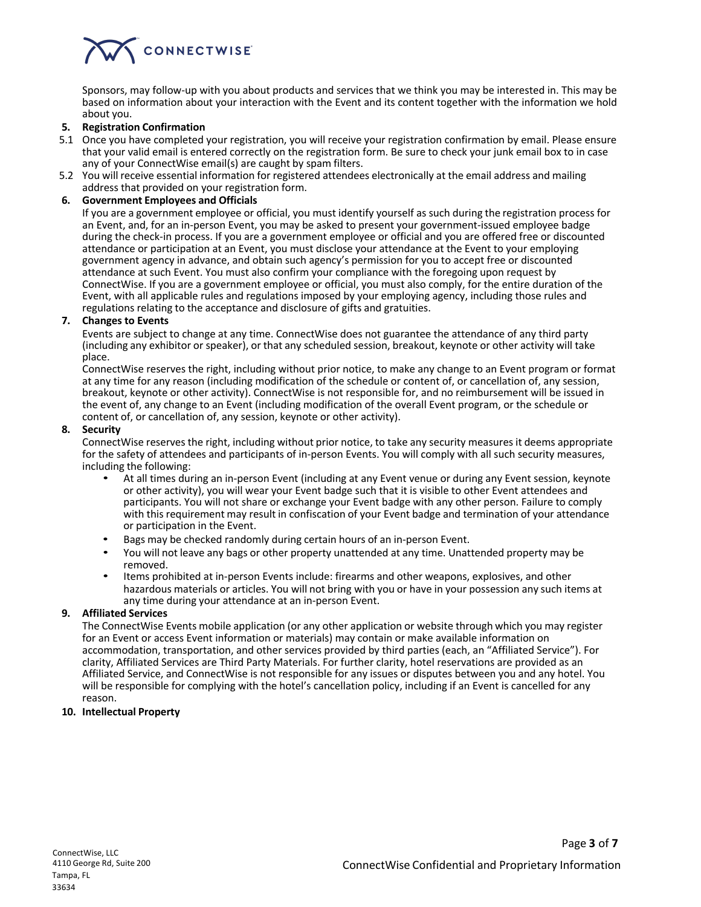# CONNECTWISE

Sponsors, may follow-up with you about products and services that we think you may be interested in. This may be based on information about your interaction with the Event and its content together with the information we hold about you.

## **5. Registration Confirmation**

- 5.1 Once you have completed your registration, you will receive your registration confirmation by email. Please ensure that your valid email is entered correctly on the registration form. Be sure to check your junk email box to in case any of your ConnectWise email(s) are caught by spam filters.
- 5.2 You will receive essential information for registered attendees electronically at the email address and mailing address that provided on your registration form.

#### **6. Government Employees and Officials**

If you are a government employee or official, you must identify yourself as such during the registration process for an Event, and, for an in-person Event, you may be asked to present your government-issued employee badge during the check-in process. If you are a government employee or official and you are offered free or discounted attendance or participation at an Event, you must disclose your attendance at the Event to your employing government agency in advance, and obtain such agency's permission for you to accept free or discounted attendance at such Event. You must also confirm your compliance with the foregoing upon request by ConnectWise. If you are a government employee or official, you must also comply, for the entire duration of the Event, with all applicable rules and regulations imposed by your employing agency, including those rules and regulations relating to the acceptance and disclosure of gifts and gratuities.

#### **7. Changes to Events**

Events are subject to change at any time. ConnectWise does not guarantee the attendance of any third party (including any exhibitor or speaker), or that any scheduled session, breakout, keynote or other activity will take place.

ConnectWise reserves the right, including without prior notice, to make any change to an Event program or format at any time for any reason (including modification of the schedule or content of, or cancellation of, any session, breakout, keynote or other activity). ConnectWise is not responsible for, and no reimbursement will be issued in the event of, any change to an Event (including modification of the overall Event program, or the schedule or content of, or cancellation of, any session, keynote or other activity).

#### **8. Security**

ConnectWise reserves the right, including without prior notice, to take any security measures it deems appropriate for the safety of attendees and participants of in-person Events. You will comply with all such security measures, including the following:

- At all times during an in-person Event (including at any Event venue or during any Event session, keynote or other activity), you will wear your Event badge such that it is visible to other Event attendees and participants. You will not share or exchange your Event badge with any other person. Failure to comply with this requirement may result in confiscation of your Event badge and termination of your attendance or participation in the Event.
- Bags may be checked randomly during certain hours of an in-person Event.
- You will not leave any bags or other property unattended at any time. Unattended property may be removed.
- Items prohibited at in-person Events include: firearms and other weapons, explosives, and other hazardous materials or articles. You will not bring with you or have in your possession any such items at any time during your attendance at an in-person Event.

# **9. Affiliated Services**

The ConnectWise Events mobile application (or any other application or website through which you may register for an Event or access Event information or materials) may contain or make available information on accommodation, transportation, and other services provided by third parties (each, an "Affiliated Service"). For clarity, Affiliated Services are Third Party Materials. For further clarity, hotel reservations are provided as an Affiliated Service, and ConnectWise is not responsible for any issues or disputes between you and any hotel. You will be responsible for complying with the hotel's cancellation policy, including if an Event is cancelled for any reason.

# **10. Intellectual Property**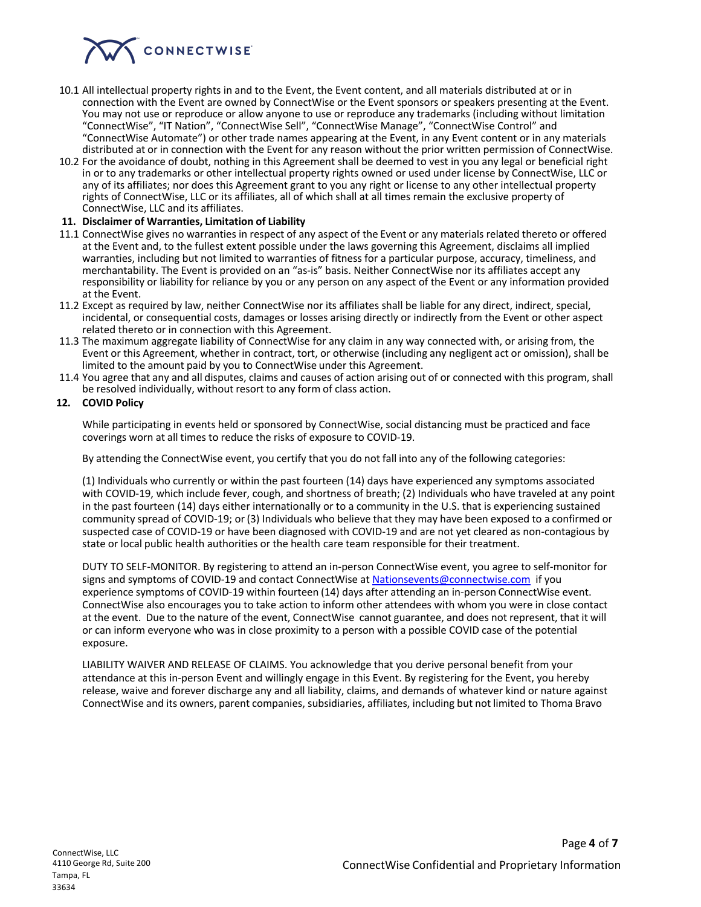

- 10.1 All intellectual property rights in and to the Event, the Event content, and all materials distributed at or in connection with the Event are owned by ConnectWise or the Event sponsors or speakers presenting at the Event. You may not use or reproduce or allow anyone to use or reproduce any trademarks (including without limitation "ConnectWise", "IT Nation", "ConnectWise Sell", "ConnectWise Manage", "ConnectWise Control" and "ConnectWise Automate") or other trade names appearing at the Event, in any Event content or in any materials distributed at or in connection with the Event for any reason without the prior written permission of ConnectWise.
- 10.2 For the avoidance of doubt, nothing in this Agreement shall be deemed to vest in you any legal or beneficial right in or to any trademarks or other intellectual property rights owned or used under license by ConnectWise, LLC or any of its affiliates; nor does this Agreement grant to you any right or license to any other intellectual property rights of ConnectWise, LLC or its affiliates, all of which shall at all times remain the exclusive property of ConnectWise, LLC and its affiliates.

#### **11. Disclaimer of Warranties, Limitation of Liability**

- 11.1 ConnectWise gives no warranties in respect of any aspect of the Event or any materials related thereto or offered at the Event and, to the fullest extent possible under the laws governing this Agreement, disclaims all implied warranties, including but not limited to warranties of fitness for a particular purpose, accuracy, timeliness, and merchantability. The Event is provided on an "as-is" basis. Neither ConnectWise nor its affiliates accept any responsibility or liability for reliance by you or any person on any aspect of the Event or any information provided at the Event.
- 11.2 Except as required by law, neither ConnectWise nor its affiliates shall be liable for any direct, indirect, special, incidental, or consequential costs, damages or losses arising directly or indirectly from the Event or other aspect related thereto or in connection with this Agreement.
- 11.3 The maximum aggregate liability of ConnectWise for any claim in any way connected with, or arising from, the Event or this Agreement, whether in contract, tort, or otherwise (including any negligent act or omission), shall be limited to the amount paid by you to ConnectWise under this Agreement.
- 11.4 You agree that any and all disputes, claims and causes of action arising out of or connected with this program, shall be resolved individually, without resort to any form of class action.

# **12. COVID Policy**

While participating in events held or sponsored by ConnectWise, social distancing must be practiced and face coverings worn at all times to reduce the risks of exposure to COVID-19.

By attending the ConnectWise event, you certify that you do not fall into any of the following categories:

(1) Individuals who currently or within the past fourteen (14) days have experienced any symptoms associated with COVID-19, which include fever, cough, and shortness of breath; (2) Individuals who have traveled at any point in the past fourteen (14) days either internationally or to a community in the U.S. that is experiencing sustained community spread of COVID-19; or (3) Individuals who believe that they may have been exposed to a confirmed or suspected case of COVID-19 or have been diagnosed with COVID-19 and are not yet cleared as non-contagious by state or local public health authorities or the health care team responsible for their treatment.

DUTY TO SELF-MONITOR. By registering to attend an in-person ConnectWise event, you agree to self-monitor for signs and symptoms of COVID-19 and contact ConnectWise at Nationsevents@connectwise.com if you experience symptoms of COVID-19 within fourteen (14) days after attending an in-person ConnectWise event. ConnectWise also encourages you to take action to inform other attendees with whom you were in close contact at the event. Due to the nature of the event, ConnectWise cannot guarantee, and does not represent, that it will or can inform everyone who was in close proximity to a person with a possible COVID case of the potential exposure.

LIABILITY WAIVER AND RELEASE OF CLAIMS. You acknowledge that you derive personal benefit from your attendance at this in-person Event and willingly engage in this Event. By registering for the Event, you hereby release, waive and forever discharge any and all liability, claims, and demands of whatever kind or nature against ConnectWise and its owners, parent companies, subsidiaries, affiliates, including but not limited to Thoma Bravo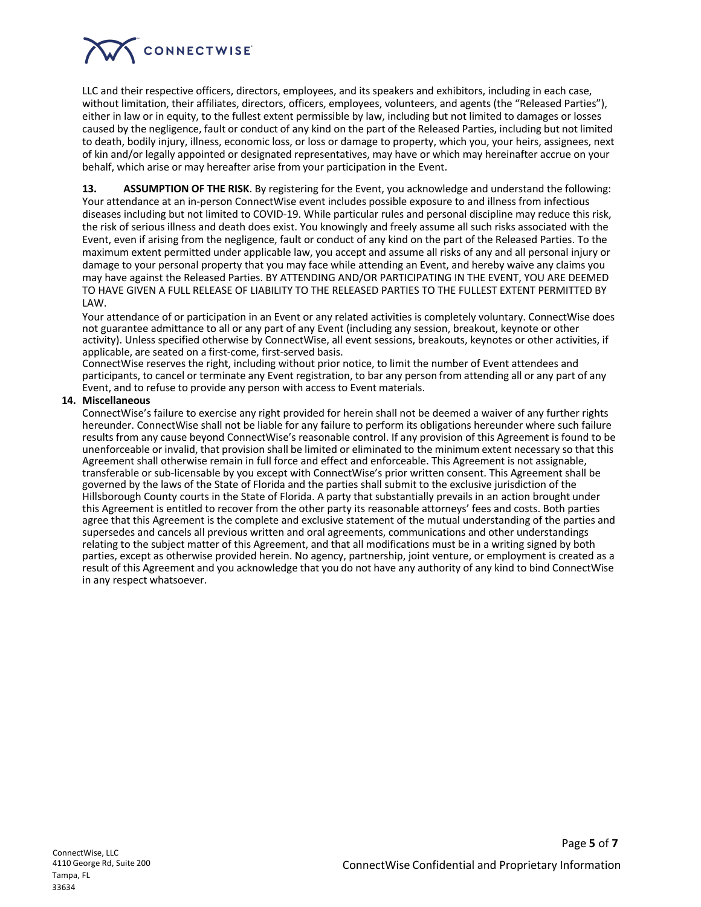# CONNECTWISE

LLC and their respective officers, directors, employees, and its speakers and exhibitors, including in each case, without limitation, their affiliates, directors, officers, employees, volunteers, and agents (the "Released Parties"), either in law or in equity, to the fullest extent permissible by law, including but not limited to damages or losses caused by the negligence, fault or conduct of any kind on the part of the Released Parties, including but not limited to death, bodily injury, illness, economic loss, or loss or damage to property, which you, your heirs, assignees, next of kin and/or legally appointed or designated representatives, may have or which may hereinafter accrue on your behalf, which arise or may hereafter arise from your participation in the Event.

**13. ASSUMPTION OF THE RISK**. By registering for the Event, you acknowledge and understand the following: Your attendance at an in-person ConnectWise event includes possible exposure to and illness from infectious diseases including but not limited to COVID-19. While particular rules and personal discipline may reduce this risk, the risk of serious illness and death does exist. You knowingly and freely assume all such risks associated with the Event, even if arising from the negligence, fault or conduct of any kind on the part of the Released Parties. To the maximum extent permitted under applicable law, you accept and assume all risks of any and all personal injury or damage to your personal property that you may face while attending an Event, and hereby waive any claims you may have against the Released Parties. BY ATTENDING AND/OR PARTICIPATING IN THE EVENT, YOU ARE DEEMED TO HAVE GIVEN A FULL RELEASE OF LIABILITY TO THE RELEASED PARTIES TO THE FULLEST EXTENT PERMITTED BY LAW.

Your attendance of or participation in an Event or any related activities is completely voluntary. ConnectWise does not guarantee admittance to all or any part of any Event (including any session, breakout, keynote or other activity). Unless specified otherwise by ConnectWise, all event sessions, breakouts, keynotes or other activities, if applicable, are seated on a first-come, first-served basis.

ConnectWise reserves the right, including without prior notice, to limit the number of Event attendees and participants, to cancel or terminate any Event registration, to bar any person from attending all or any part of any Event, and to refuse to provide any person with access to Event materials.

# **14. Miscellaneous**

ConnectWise's failure to exercise any right provided for herein shall not be deemed a waiver of any further rights hereunder. ConnectWise shall not be liable for any failure to perform its obligations hereunder where such failure results from any cause beyond ConnectWise's reasonable control. If any provision of this Agreement is found to be unenforceable or invalid, that provision shall be limited or eliminated to the minimum extent necessary so that this Agreement shall otherwise remain in full force and effect and enforceable. This Agreement is not assignable, transferable or sub-licensable by you except with ConnectWise's prior written consent. This Agreement shall be governed by the laws of the State of Florida and the parties shall submit to the exclusive jurisdiction of the Hillsborough County courts in the State of Florida. A party that substantially prevails in an action brought under this Agreement is entitled to recover from the other party its reasonable attorneys' fees and costs. Both parties agree that this Agreement is the complete and exclusive statement of the mutual understanding of the parties and supersedes and cancels all previous written and oral agreements, communications and other understandings relating to the subject matter of this Agreement, and that all modifications must be in a writing signed by both parties, except as otherwise provided herein. No agency, partnership, joint venture, or employment is created as a result of this Agreement and you acknowledge that you do not have any authority of any kind to bind ConnectWise in any respect whatsoever.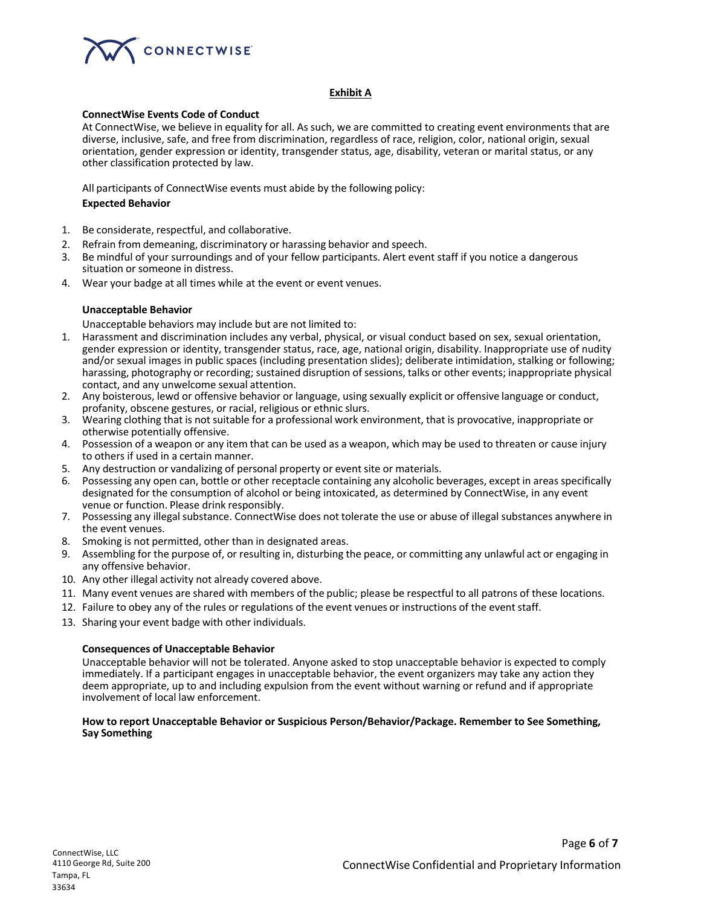

## **Exhibit A**

#### **ConnectWise Events Code of Conduct**

At ConnectWise, we believe in equality for all. As such, we are committed to creating event environments that are diverse, inclusive, safe, and free from discrimination, regardless of race, religion, color, national origin, sexual orientation, gender expression or identity, transgender status, age, disability, veteran or marital status, or any other classification protected by law.

All participants of ConnectWise events must abide by the following policy:

#### **Expected Behavior**

- 1. Be considerate, respectful, and collaborative.
- 2. Refrain from demeaning, discriminatory or harassing behavior and speech.
- 3. Be mindful of your surroundings and of your fellow participants. Alert event staff if you notice a dangerous situation or someone in distress.
- 4. Wear your badge at all times while at the event or event venues.

#### **Unacceptable Behavior**

Unacceptable behaviors may include but are not limited to:

- 1. Harassment and discrimination includes any verbal, physical, or visual conduct based on sex, sexual orientation, gender expression or identity, transgender status, race, age, national origin, disability. Inappropriate use of nudity and/or sexual images in public spaces (including presentation slides); deliberate intimidation, stalking or following; harassing, photography or recording; sustained disruption of sessions, talks or other events; inappropriate physical contact, and any unwelcome sexual attention.
- 2. Any boisterous, lewd or offensive behavior or language, using sexually explicit or offensive language or conduct, profanity, obscene gestures, or racial, religious or ethnic slurs.
- 3. Wearing clothing that is not suitable for a professional work environment, that is provocative, inappropriate or otherwise potentially offensive.
- 4. Possession of a weapon or any item that can be used as a weapon, which may be used to threaten or cause injury to others if used in a certain manner.
- 5. Any destruction or vandalizing of personal property or eventsite or materials.
- 6. Possessing any open can, bottle or other receptacle containing any alcoholic beverages, except in areas specifically designated for the consumption of alcohol or being intoxicated, as determined by ConnectWise, in any event venue or function. Please drink responsibly.
- 7. Possessing any illegal substance. ConnectWise does not tolerate the use or abuse of illegal substances anywhere in the event venues.
- 8. Smoking is not permitted, other than in designated areas.
- 9. Assembling for the purpose of, or resulting in, disturbing the peace, or committing any unlawful act or engaging in any offensive behavior.
- 10. Any other illegal activity not already covered above.
- 11. Many event venues are shared with members of the public; please be respectful to all patrons of these locations.
- 12. Failure to obey any of the rules or regulations of the event venues or instructions of the eventstaff.
- 13. Sharing your event badge with other individuals.

# **Consequences of Unacceptable Behavior**

Unacceptable behavior will not be tolerated. Anyone asked to stop unacceptable behavior is expected to comply immediately. If a participant engages in unacceptable behavior, the event organizers may take any action they deem appropriate, up to and including expulsion from the event without warning or refund and if appropriate involvement of local law enforcement.

#### **How to report Unacceptable Behavior or Suspicious Person/Behavior/Package. Remember to See Something, Say Something**